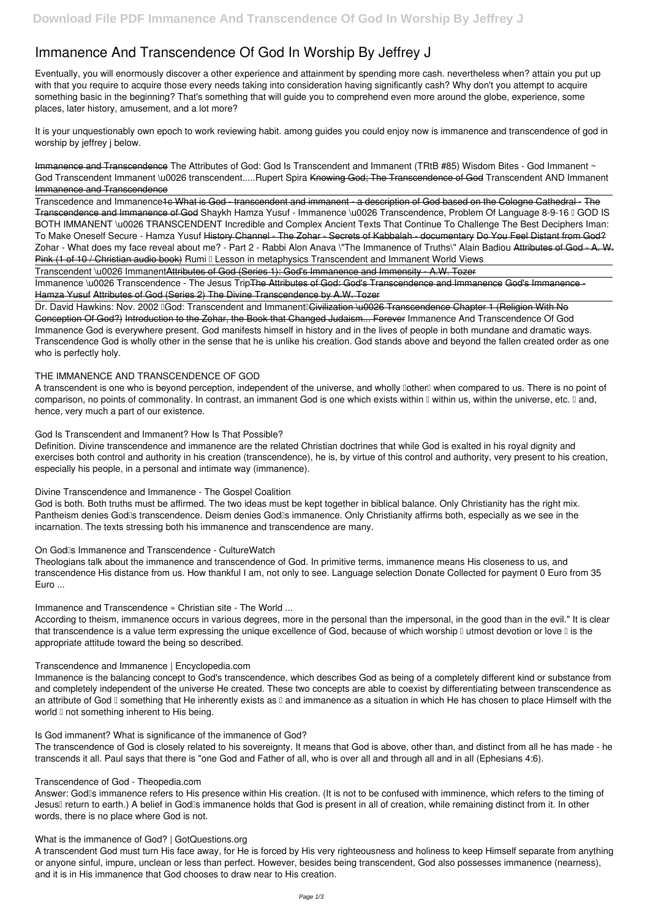# **Immanence And Transcendence Of God In Worship By Jeffrey J**

Eventually, you will enormously discover a other experience and attainment by spending more cash. nevertheless when? attain you put up with that you require to acquire those every needs taking into consideration having significantly cash? Why don't you attempt to acquire something basic in the beginning? That's something that will guide you to comprehend even more around the globe, experience, some places, later history, amusement, and a lot more?

Transcedence and Immanence1c What is God - transcendent and immanent - a description of God based on the Cologne Cathedral - The Transcendence and Immanence of God *Shaykh Hamza Yusuf - Immanence \u0026 Transcendence, Problem Of Language 8-9-16 – GOD IS BOTH IMMANENT \u0026 TRANSCENDENT Incredible and Complex Ancient Texts That Continue To Challenge The Best Deciphers Iman: To Make Oneself Secure - Hamza Yusuf* History Channel - The Zohar - Secrets of Kabbalah - documentary Do You Feel Distant from God? **Zohar - What does my face reveal about me? - Part 2 - Rabbi Alon Anava \"The Immanence of Truths\" Alain Badiou** Attributes of God - A. W. Pink (1 of 10 / Christian audio book) Rumi **□** Lesson in metaphysics Transcendent and Immanent World Views

It is your unquestionably own epoch to work reviewing habit. among guides you could enjoy now is **immanence and transcendence of god in worship by jeffrey j** below.

Immanence and Transcendence *The Attributes of God: God Is Transcendent and Immanent (TRtB #85) Wisdom Bites - God Immanent ~ God Transcendent Immanent \u0026 transcendent.....Rupert Spira* Knowing God; The Transcendence of God **Transcendent AND Immanent** Immanence and Transcendence

Immanence \u0026 Transcendence - The Jesus Trip<del>The Attributes of God: God's Transcendence and Immanence God's Immanence -</del> Hamza Yusuf Attributes of God (Series 2) The Divine Transcendence by A.W. Tozer

Dr. David Hawkins: Nov. 2002 IGod: Transcendent and Immanent Civilization \u0026 Transcendence Chapter 1 (Religion With No Conception Of God?) Introduction to the Zohar, the Book that Changed Judaism... Forever **Immanence And Transcendence Of God** Immanence God is everywhere present. God manifests himself in history and in the lives of people in both mundane and dramatic ways. Transcendence God is wholly other in the sense that he is unlike his creation. God stands above and beyond the fallen created order as one who is perfectly holy.

A transcendent is one who is beyond perception, independent of the universe, and wholly DotherD when compared to us. There is no point of comparison, no points of commonality. In contrast, an immanent God is one which exists within  $\mathbb I$  within us, within the universe, etc.  $\mathbb I$  and, hence, very much a part of our existence.

Transcendent \u0026 ImmanentAttributes of God (Series 1): God's Immanence and Immensity - A.W. Tozer

## **THE IMMANENCE AND TRANSCENDENCE OF GOD**

Answer: God<sup>'</sup>s immanence refers to His presence within His creation. (It is not to be confused with imminence, which refers to the timing of Jesus<sup>[]</sup> return to earth.) A belief in God<sup>[]</sup> immanence holds that God is present in all of creation, while remaining distinct from it. In other words, there is no place where God is not.

#### **God Is Transcendent and Immanent? How Is That Possible?**

Definition. Divine transcendence and immanence are the related Christian doctrines that while God is exalted in his royal dignity and exercises both control and authority in his creation (transcendence), he is, by virtue of this control and authority, very present to his creation, especially his people, in a personal and intimate way (immanence).

#### **Divine Transcendence and Immanence - The Gospel Coalition**

God is both. Both truths must be affirmed. The two ideas must be kept together in biblical balance. Only Christianity has the right mix. Pantheism denies God<sup>'</sup>s transcendence. Deism denies God<sup>'</sup>s immanence. Only Christianity affirms both, especially as we see in the incarnation. The texts stressing both his immanence and transcendence are many.

#### **On God's Immanence and Transcendence - CultureWatch**

Theologians talk about the immanence and transcendence of God. In primitive terms, immanence means His closeness to us, and transcendence His distance from us. How thankful I am, not only to see. Language selection Donate Collected for payment 0 Euro from 35 Euro ...

## **Immanence and Transcendence » Christian site - The World ...**

According to theism, immanence occurs in various degrees, more in the personal than the impersonal, in the good than in the evil." It is clear that transcendence is a value term expressing the unique excellence of God, because of which worship  $\mathbb I$  utmost devotion or love  $\mathbb I$  is the appropriate attitude toward the being so described.

#### **Transcendence and Immanence | Encyclopedia.com**

Immanence is the balancing concept to God's transcendence, which describes God as being of a completely different kind or substance from and completely independent of the universe He created. These two concepts are able to coexist by differentiating between transcendence as

an attribute of God  $\mathbb I$  something that He inherently exists as  $\mathbb I$  and immanence as a situation in which He has chosen to place Himself with the world  $\mathbb I$  not something inherent to His being.

**Is God immanent? What is significance of the immanence of God?**

The transcendence of God is closely related to his sovereignty. It means that God is above, other than, and distinct from all he has made - he transcends it all. Paul says that there is "one God and Father of all, who is over all and through all and in all (Ephesians 4:6).

#### **Transcendence of God - Theopedia.com**

#### **What is the immanence of God? | GotQuestions.org**

A transcendent God must turn His face away, for He is forced by His very righteousness and holiness to keep Himself separate from anything or anyone sinful, impure, unclean or less than perfect. However, besides being transcendent, God also possesses immanence (nearness), and it is in His immanence that God chooses to draw near to His creation.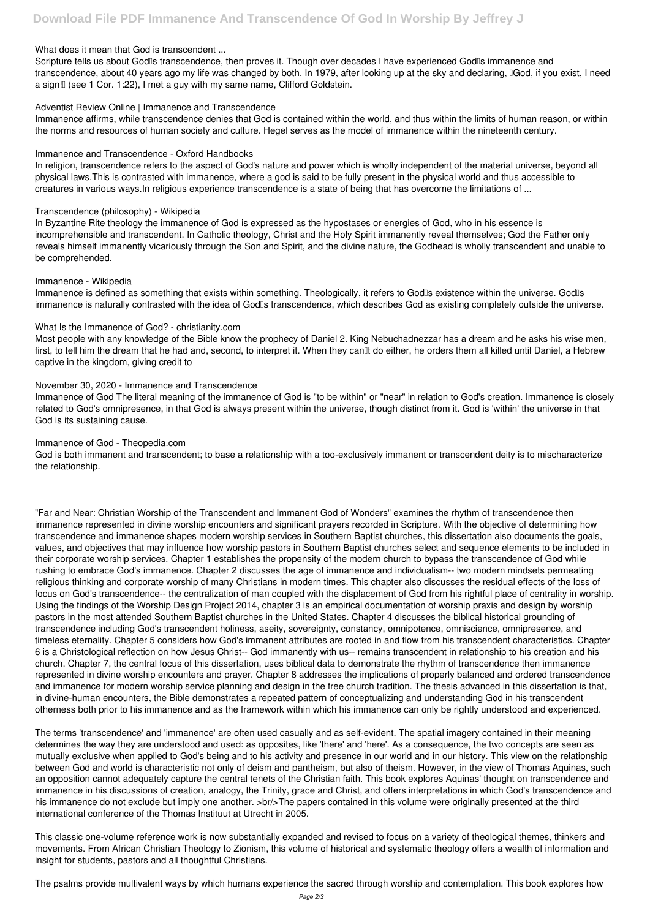#### **What does it mean that God is transcendent ...**

Scripture tells us about God<sup>'</sup>s transcendence, then proves it. Though over decades I have experienced God<sup>'</sup>s immanence and transcendence, about 40 years ago my life was changed by both. In 1979, after looking up at the sky and declaring, "God, if you exist, I need a sign! (see 1 Cor. 1:22), I met a guy with my same name, Clifford Goldstein.

#### **Adventist Review Online | Immanence and Transcendence**

Immanence affirms, while transcendence denies that God is contained within the world, and thus within the limits of human reason, or within the norms and resources of human society and culture. Hegel serves as the model of immanence within the nineteenth century.

#### **Immanence and Transcendence - Oxford Handbooks**

In religion, transcendence refers to the aspect of God's nature and power which is wholly independent of the material universe, beyond all physical laws.This is contrasted with immanence, where a god is said to be fully present in the physical world and thus accessible to creatures in various ways.In religious experience transcendence is a state of being that has overcome the limitations of ...

#### **Transcendence (philosophy) - Wikipedia**

In Byzantine Rite theology the immanence of God is expressed as the hypostases or energies of God, who in his essence is incomprehensible and transcendent. In Catholic theology, Christ and the Holy Spirit immanently reveal themselves; God the Father only reveals himself immanently vicariously through the Son and Spirit, and the divine nature, the Godhead is wholly transcendent and unable to be comprehended.

#### **Immanence - Wikipedia**

Immanence is defined as something that exists within something. Theologically, it refers to Godlls existence within the universe. Godlls immanence is naturally contrasted with the idea of God<sup>®</sup>s transcendence, which describes God as existing completely outside the universe.

#### **What Is the Immanence of God? - christianity.com**

Most people with any knowledge of the Bible know the prophecy of Daniel 2. King Nebuchadnezzar has a dream and he asks his wise men, first, to tell him the dream that he had and, second, to interpret it. When they can<sup>[]</sup>t do either, he orders them all killed until Daniel, a Hebrew captive in the kingdom, giving credit to

## **November 30, 2020 - Immanence and Transcendence**

Immanence of God The literal meaning of the immanence of God is "to be within" or "near" in relation to God's creation. Immanence is closely related to God's omnipresence, in that God is always present within the universe, though distinct from it. God is 'within' the universe in that God is its sustaining cause.

#### **Immanence of God - Theopedia.com**

God is both immanent and transcendent; to base a relationship with a too-exclusively immanent or transcendent deity is to mischaracterize the relationship.

"Far and Near: Christian Worship of the Transcendent and Immanent God of Wonders" examines the rhythm of transcendence then immanence represented in divine worship encounters and significant prayers recorded in Scripture. With the objective of determining how transcendence and immanence shapes modern worship services in Southern Baptist churches, this dissertation also documents the goals, values, and objectives that may influence how worship pastors in Southern Baptist churches select and sequence elements to be included in their corporate worship services. Chapter 1 establishes the propensity of the modern church to bypass the transcendence of God while rushing to embrace God's immanence. Chapter 2 discusses the age of immanence and individualism-- two modern mindsets permeating religious thinking and corporate worship of many Christians in modern times. This chapter also discusses the residual effects of the loss of focus on God's transcendence-- the centralization of man coupled with the displacement of God from his rightful place of centrality in worship. Using the findings of the Worship Design Project 2014, chapter 3 is an empirical documentation of worship praxis and design by worship pastors in the most attended Southern Baptist churches in the United States. Chapter 4 discusses the biblical historical grounding of transcendence including God's transcendent holiness, aseity, sovereignty, constancy, omnipotence, omniscience, omnipresence, and timeless eternality. Chapter 5 considers how God's immanent attributes are rooted in and flow from his transcendent characteristics. Chapter 6 is a Christological reflection on how Jesus Christ-- God immanently with us-- remains transcendent in relationship to his creation and his church. Chapter 7, the central focus of this dissertation, uses biblical data to demonstrate the rhythm of transcendence then immanence represented in divine worship encounters and prayer. Chapter 8 addresses the implications of properly balanced and ordered transcendence and immanence for modern worship service planning and design in the free church tradition. The thesis advanced in this dissertation is that,

in divine-human encounters, the Bible demonstrates a repeated pattern of conceptualizing and understanding God in his transcendent otherness both prior to his immanence and as the framework within which his immanence can only be rightly understood and experienced.

The terms 'transcendence' and 'immanence' are often used casually and as self-evident. The spatial imagery contained in their meaning determines the way they are understood and used: as opposites, like 'there' and 'here'. As a consequence, the two concepts are seen as mutually exclusive when applied to God's being and to his activity and presence in our world and in our history. This view on the relationship between God and world is characteristic not only of deism and pantheism, but also of theism. However, in the view of Thomas Aquinas, such an opposition cannot adequately capture the central tenets of the Christian faith. This book explores Aquinas' thought on transcendence and immanence in his discussions of creation, analogy, the Trinity, grace and Christ, and offers interpretations in which God's transcendence and his immanence do not exclude but imply one another. >br/>The papers contained in this volume were originally presented at the third international conference of the Thomas Instituut at Utrecht in 2005.

This classic one-volume reference work is now substantially expanded and revised to focus on a variety of theological themes, thinkers and movements. From African Christian Theology to Zionism, this volume of historical and systematic theology offers a wealth of information and insight for students, pastors and all thoughtful Christians.

The psalms provide multivalent ways by which humans experience the sacred through worship and contemplation. This book explores how